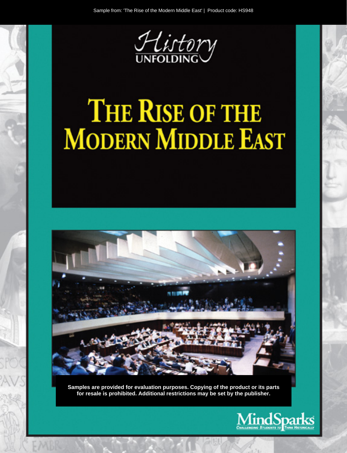

# THE RISE OF THE **MODERN MIDDLE EAST**



Samples are provided for evaluation purposes. Copying of the product or its parts for resale is prohibited. Additional restrictions may be set by the publisher.

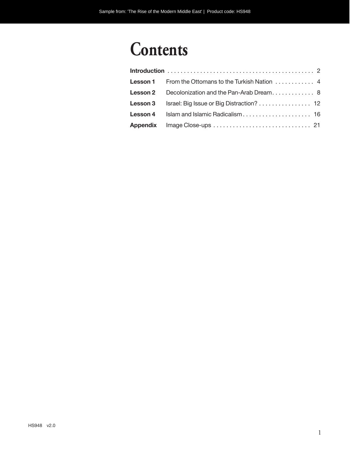## **Contents**

| Lesson 1 From the Ottomans to the Turkish Nation  4      |
|----------------------------------------------------------|
| Lesson 2 Decolonization and the Pan-Arab Dream 8         |
| <b>Lesson 3</b> Israel: Big Issue or Big Distraction? 12 |
|                                                          |
|                                                          |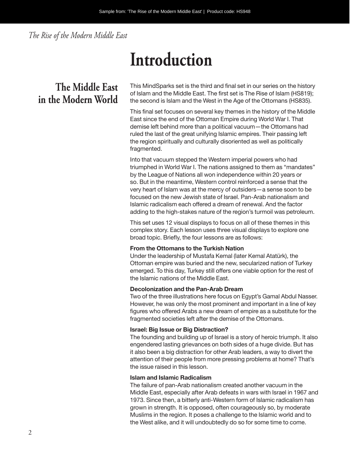*The Rise of the Modern Middle East*

## **Introduction**

## **The Middle East in the Modern World**

This MindSparks set is the third and final set in our series on the history of Islam and the Middle East. The first set is The Rise of Islam (HS819); the second is Islam and the West in the Age of the Ottomans (HS835).

This final set focuses on several key themes in the history of the Middle East since the end of the Ottoman Empire during World War I. That demise left behind more than a political vacuum—the Ottomans had ruled the last of the great unifying Islamic empires. Their passing left the region spiritually and culturally disoriented as well as politically fragmented.

Into that vacuum stepped the Western imperial powers who had triumphed in World War I. The nations assigned to them as "mandates" by the League of Nations all won independence within 20 years or so. But in the meantime, Western control reinforced a sense that the very heart of Islam was at the mercy of outsiders—a sense soon to be focused on the new Jewish state of Israel. Pan-Arab nationalism and Islamic radicalism each offered a dream of renewal. And the factor adding to the high-stakes nature of the region's turmoil was petroleum.

This set uses 12 visual displays to focus on all of these themes in this complex story. Each lesson uses three visual displays to explore one broad topic. Briefly, the four lessons are as follows:

#### **From the Ottomans to the Turkish Nation**

Under the leadership of Mustafa Kemal (later Kemal Atatürk), the Ottoman empire was buried and the new, secularized nation of Turkey emerged. To this day, Turkey still offers one viable option for the rest of the Islamic nations of the Middle East.

#### **Decolonization and the Pan-Arab Dream**

Two of the three illustrations here focus on Egypt's Gamal Abdul Nasser. However, he was only the most prominent and important in a line of key figures who offered Arabs a new dream of empire as a substitute for the fragmented societies left after the demise of the Ottomans.

#### **Israel: Big Issue or Big Distraction?**

The founding and building up of Israel is a story of heroic triumph. It also engendered lasting grievances on both sides of a huge divide. But has it also been a big distraction for other Arab leaders, a way to divert the attention of their people from more pressing problems at home? That's the issue raised in this lesson.

#### **Islam and Islamic Radicalism**

The failure of pan-Arab nationalism created another vacuum in the Middle East, especially after Arab defeats in wars with Israel in 1967 and 1973. Since then, a bitterly anti-Western form of Islamic radicalism has grown in strength. It is opposed, often courageously so, by moderate Muslims in the region. It poses a challenge to the Islamic world and to the West alike, and it will undoubtedly do so for some time to come.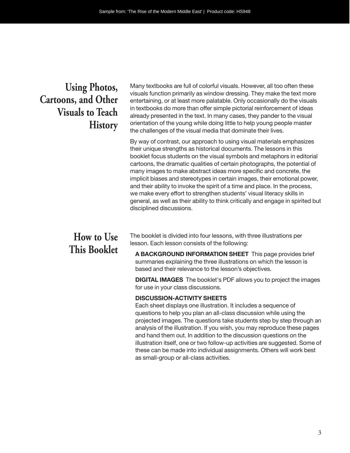### **Using Photos, Cartoons, and Other Visuals to Teach History**

Many textbooks are full of colorful visuals. However, all too often these visuals function primarily as window dressing. They make the text more entertaining, or at least more palatable. Only occasionally do the visuals in textbooks do more than offer simple pictorial reinforcement of ideas already presented in the text. In many cases, they pander to the visual orientation of the young while doing little to help young people master the challenges of the visual media that dominate their lives.

By way of contrast, our approach to using visual materials emphasizes their unique strengths as historical documents. The lessons in this booklet focus students on the visual symbols and metaphors in editorial cartoons, the dramatic qualities of certain photographs, the potential of many images to make abstract ideas more specific and concrete, the implicit biases and stereotypes in certain images, their emotional power, and their ability to invoke the spirit of a time and place. In the process, we make every effort to strengthen students' visual literacy skills in general, as well as their ability to think critically and engage in spirited but disciplined discussions.

### **How to Use This Booklet**

The booklet is divided into four lessons, with three illustrations per lesson. Each lesson consists of the following:

**A BACKGROUND INFORMATION SHEET** This page provides brief summaries explaining the three illustrations on which the lesson is based and their relevance to the lesson's objectives.

**DIGITAL IMAGES** The booklet's PDF allows you to project the images for use in your class discussions.

#### **DISCUSSION-ACTIVITY SHEETS**

Each sheet displays one illustration. It includes a sequence of questions to help you plan an all-class discussion while using the projected images. The questions take students step by step through an analysis of the illustration. If you wish, you may reproduce these pages and hand them out. In addition to the discussion questions on the illustration itself, one or two follow-up activities are suggested. Some of these can be made into individual assignments. Others will work best as small-group or all- class activities.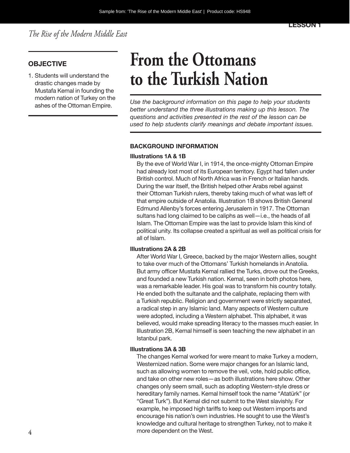*The Rise of the Modern Middle East*

#### **OBJECTIVE**

1. Students will understand the drastic changes made by Mustafa Kemal in founding the modern nation of Turkey on the

## **From the Ottomans to the Turkish Nation**

ashes of the Ottoman Empire. *Use the background information on this page to help your students better understand the three illustrations making up this lesson. The questions and activities presented in the rest of the lesson can be used to help students clarify meanings and debate important issues.*

#### **BACKGROUND INFORMATION**

#### **Illustrations 1A & 1B**

By the eve of World War I, in 1914, the once-mighty Ottoman Empire had already lost most of its European territory. Egypt had fallen under British control. Much of North Africa was in French or Italian hands. During the war itself, the British helped other Arabs rebel against their Ottoman Turkish rulers, thereby taking much of what was left of that empire outside of Anatolia. Illustration 1B shows British General Edmund Allenby's forces entering Jerusalem in 1917. The Ottoman sultans had long claimed to be caliphs as well—i.e., the heads of all Islam. The Ottoman Empire was the last to provide Islam this kind of political unity. Its collapse created a spiritual as well as political crisis for all of Islam.

#### **Illustrations 2A & 2B**

After World War I, Greece, backed by the major Western allies, sought to take over much of the Ottomans' Turkish homelands in Anatolia. But army officer Mustafa Kemal rallied the Turks, drove out the Greeks, and founded a new Turkish nation. Kemal, seen in both photos here, was a remarkable leader. His goal was to transform his country totally. He ended both the sultanate and the caliphate, replacing them with a Turkish republic. Religion and government were strictly separated, a radical step in any Islamic land. Many aspects of Western culture were adopted, including a Western alphabet. This alphabet, it was believed, would make spreading literacy to the masses much easier. In Illustration 2B, Kemal himself is seen teaching the new alphabet in an Istanbul park.

#### **Illustrations 3A & 3B**

The changes Kemal worked for were meant to make Turkey a modern, Westernized nation. Some were major changes for an Islamic land, such as allowing women to remove the veil, vote, hold public office, and take on other new roles—as both illustrations here show. Other changes only seem small, such as adopting Western-style dress or hereditary family names. Kemal himself took the name "Atatürk" (or "Great Turk"). But Kemal did not submit to the West slavishly. For example, he imposed high tariffs to keep out Western imports and encourage his nation's own industries. He sought to use the West's knowledge and cultural heritage to strengthen Turkey, not to make it more dependent on the West.